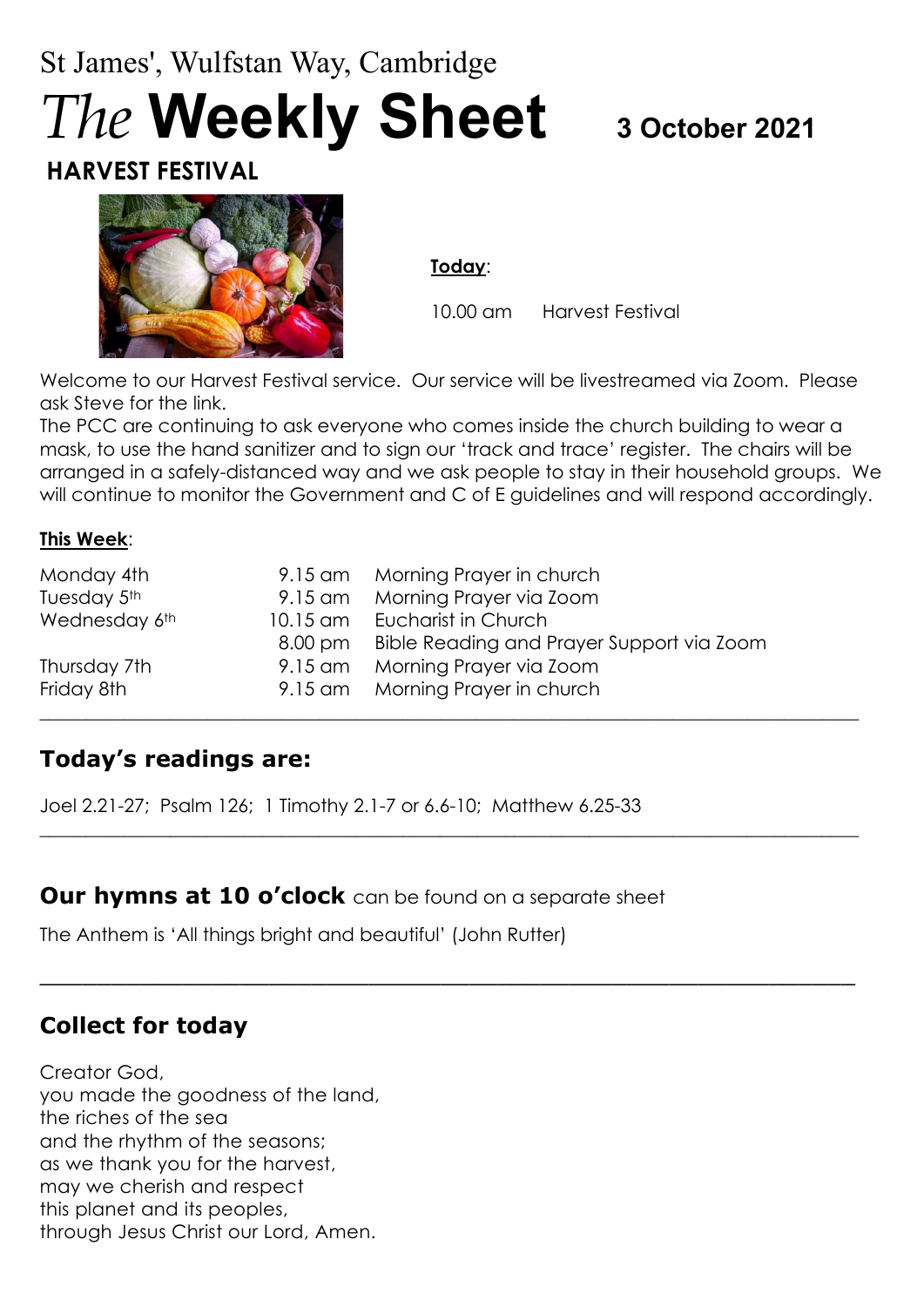# St James', Wulfstan Way, Cambridge *The* **Weekly Sheet 3 October <sup>2021</sup>**

# **HARVEST FESTIVAL**



**Today**:

10.00 am Harvest Festival

Welcome to our Harvest Festival service. Our service will be livestreamed via Zoom. Please ask Steve for the link.

The PCC are continuing to ask everyone who comes inside the church building to wear a mask, to use the hand sanitizer and to sign our 'track and trace' register. The chairs will be arranged in a safely-distanced way and we ask people to stay in their household groups. We will continue to monitor the Government and C of E quidelines and will respond accordingly.

#### **This Week**:

| Monday 4th    | 9.15 am  | Morning Prayer in church                  |
|---------------|----------|-------------------------------------------|
| Tuesday 5th   | 9.15 am  | Morning Prayer via Zoom                   |
| Wednesday 6th | 10.15 am | Eucharist in Church                       |
|               | 8.00 pm  | Bible Reading and Prayer Support via Zoom |
| Thursday 7th  | 9.15 am  | Morning Prayer via Zoom                   |
| Friday 8th    | 9.15 am  | Morning Prayer in church                  |
|               |          |                                           |

 $\_$  , and the set of the set of the set of the set of the set of the set of the set of the set of the set of the set of the set of the set of the set of the set of the set of the set of the set of the set of the set of th

\_\_\_\_\_\_\_\_\_\_\_\_\_\_\_\_\_\_\_\_\_\_\_\_\_\_\_\_\_\_\_\_\_\_\_\_\_\_\_\_\_\_\_\_\_\_\_\_\_\_\_\_\_\_\_\_\_

#### **Today's readings are:**

Joel 2.21-27; Psalm 126; 1 Timothy 2.1-7 or 6.6-10; Matthew 6.25-33

#### **Our hymns at 10 o'clock** can be found on a separate sheet

The Anthem is 'All things bright and beautiful' (John Rutter)

# **Collect for today**

Creator God, you made the goodness of the land, the riches of the sea and the rhythm of the seasons; as we thank you for the harvest, may we cherish and respect this planet and its peoples, through Jesus Christ our Lord, Amen.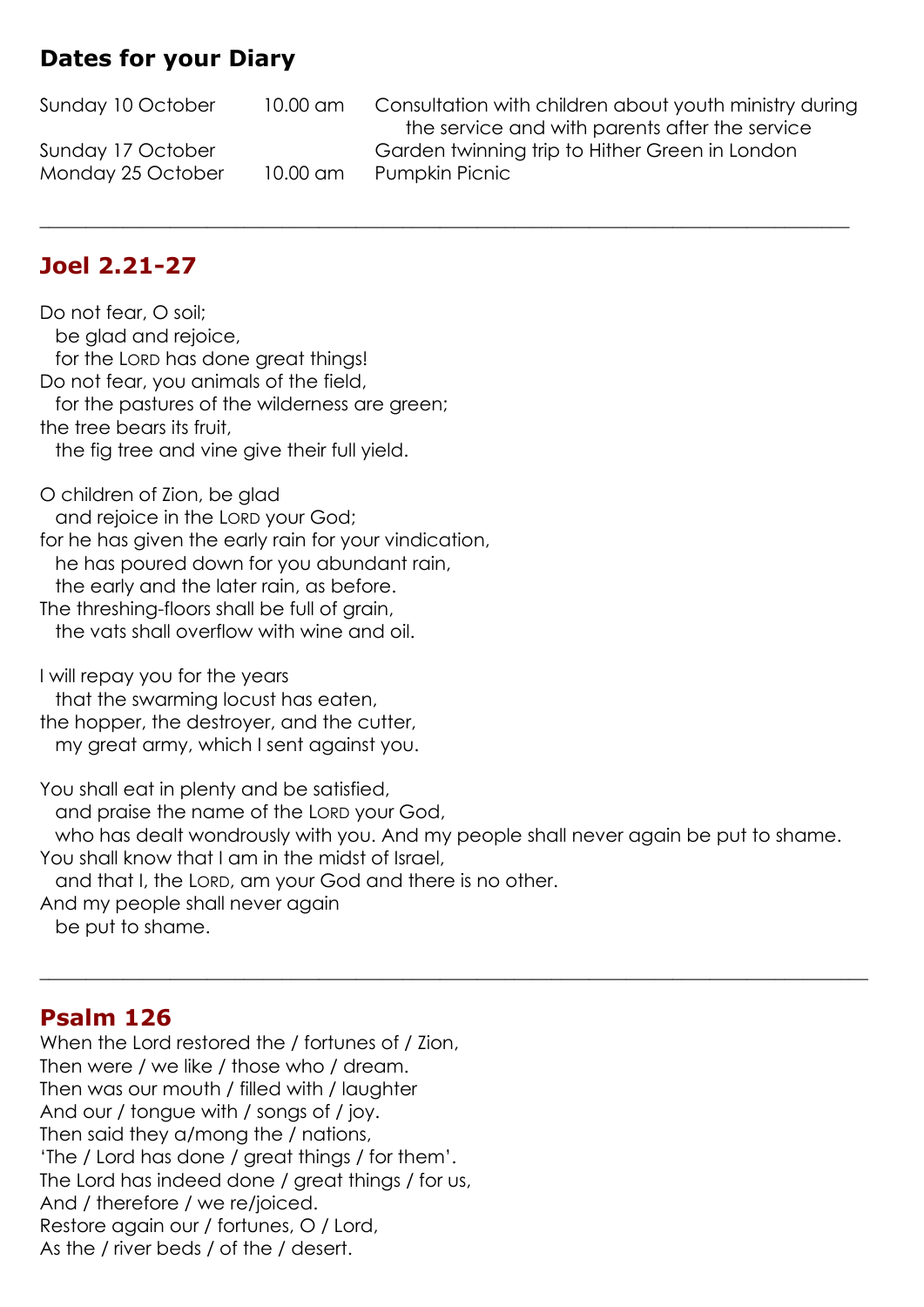# **Dates for your Diary**

| Sunday 10 October | 10.00 am   | Consultation with children about youth ministry during |
|-------------------|------------|--------------------------------------------------------|
|                   |            | the service and with parents after the service         |
| Sunday 17 October |            | Garden twinning trip to Hither Green in London         |
| Monday 25 October | $10.00$ am | Pumpkin Picnic                                         |

 $\_$  , and the set of the set of the set of the set of the set of the set of the set of the set of the set of the set of the set of the set of the set of the set of the set of the set of the set of the set of the set of th

## **Joel 2.21-27**

Do not fear, O soil; be glad and rejoice, for the LORD has done great things! Do not fear, you animals of the field, for the pastures of the wilderness are green; the tree bears its fruit, the fig tree and vine give their full yield.

O children of Zion, be glad and rejoice in the LORD your God; for he has given the early rain for your vindication, he has poured down for you abundant rain, the early and the later rain, as before. The threshing-floors shall be full of grain, the vats shall overflow with wine and oil.

I will repay you for the years that the swarming locust has eaten, the hopper, the destroyer, and the cutter, my great army, which I sent against you.

You shall eat in plenty and be satisfied, and praise the name of the LORD your God, who has dealt wondrously with you. And my people shall never again be put to shame. You shall know that I am in the midst of Israel, and that I, the LORD, am your God and there is no other. And my people shall never again be put to shame.

 $\_$  , and the set of the set of the set of the set of the set of the set of the set of the set of the set of the set of the set of the set of the set of the set of the set of the set of the set of the set of the set of th

#### **Psalm 126**

When the Lord restored the / fortunes of / Zion, Then were / we like / those who / dream. Then was our mouth / filled with / laughter And our / tongue with / songs of / joy. Then said they a/mong the / nations, 'The / Lord has done / great things / for them'. The Lord has indeed done / great things / for us, And / therefore / we re/joiced. Restore again our / fortunes, O / Lord, As the / river beds / of the / desert.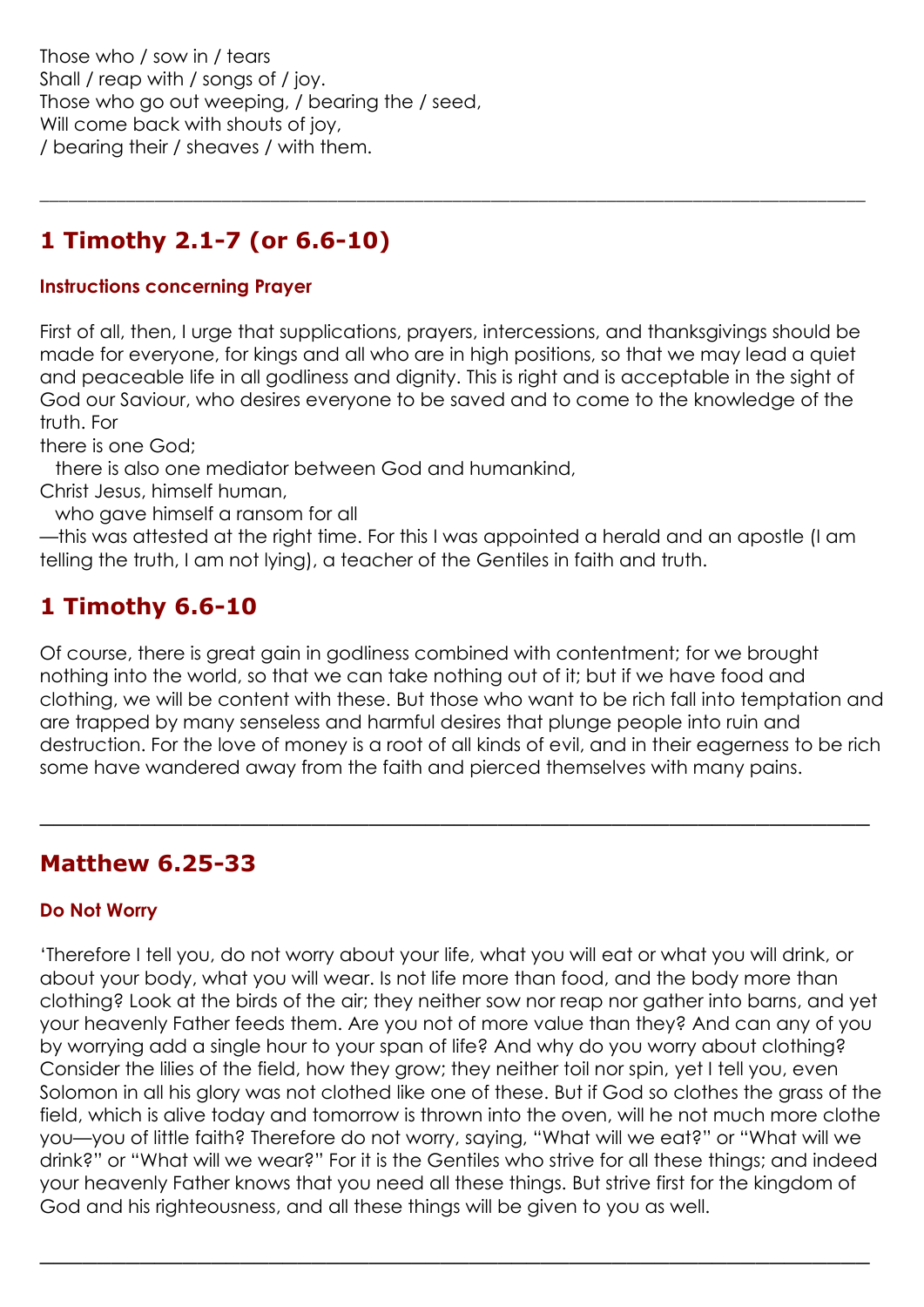# **1 Timothy 2.1-7 (or 6.6-10)**

#### **Instructions concerning Prayer**

First of all, then, I urge that supplications, prayers, intercessions, and thanksgivings should be made for everyone, for kings and all who are in high positions, so that we may lead a quiet and peaceable life in all godliness and dignity. This is right and is acceptable in the sight of God our Saviour, who desires everyone to be saved and to come to the knowledge of the truth. For

\_\_\_\_\_\_\_\_\_\_\_\_\_\_\_\_\_\_\_\_\_\_\_\_\_\_\_\_\_\_\_\_\_\_\_\_\_\_\_\_\_\_\_\_\_\_\_\_\_\_\_\_\_\_\_\_\_\_\_\_\_\_\_\_\_\_\_\_\_\_\_\_\_\_\_\_\_\_\_\_\_\_\_\_\_\_

there is one God;

there is also one mediator between God and humankind,

Christ Jesus, himself human,

who gave himself a ransom for all

—this was attested at the right time. For this I was appointed a herald and an apostle (I am telling the truth, I am not lying), a teacher of the Gentiles in faith and truth.

# **1 Timothy 6.6-10**

Of course, there is great gain in godliness combined with contentment; for we brought nothing into the world, so that we can take nothing out of it; but if we have food and clothing, we will be content with these. But those who want to be rich fall into temptation and are trapped by many senseless and harmful desires that plunge people into ruin and destruction. For the love of money is a root of all kinds of evil, and in their eagerness to be rich some have wandered away from the faith and pierced themselves with many pains.

\_\_\_\_\_\_\_\_\_\_\_\_\_\_\_\_\_\_\_\_\_\_\_\_\_\_\_\_\_\_\_\_\_\_\_\_\_\_\_\_\_\_\_\_\_\_\_\_\_\_\_\_\_\_\_\_\_\_

#### **Matthew 6.25-33**

#### **Do Not Worry**

'Therefore I tell you, do not worry about your life, what you will eat or what you will drink, or about your body, what you will wear. Is not life more than food, and the body more than clothing? Look at the birds of the air; they neither sow nor reap nor gather into barns, and yet your heavenly Father feeds them. Are you not of more value than they? And can any of you by worrying add a single hour to your span of life? And why do you worry about clothing? Consider the lilies of the field, how they grow; they neither toil nor spin, yet I tell you, even Solomon in all his glory was not clothed like one of these. But if God so clothes the grass of the field, which is alive today and tomorrow is thrown into the oven, will he not much more clothe you—you of little faith? Therefore do not worry, saying, "What will we eat?" or "What will we drink?" or "What will we wear?" For it is the Gentiles who strive for all these things; and indeed your heavenly Father knows that you need all these things. But strive first for the kingdom of God and his righteousness, and all these things will be given to you as well.

\_\_\_\_\_\_\_\_\_\_\_\_\_\_\_\_\_\_\_\_\_\_\_\_\_\_\_\_\_\_\_\_\_\_\_\_\_\_\_\_\_\_\_\_\_\_\_\_\_\_\_\_\_\_\_\_\_\_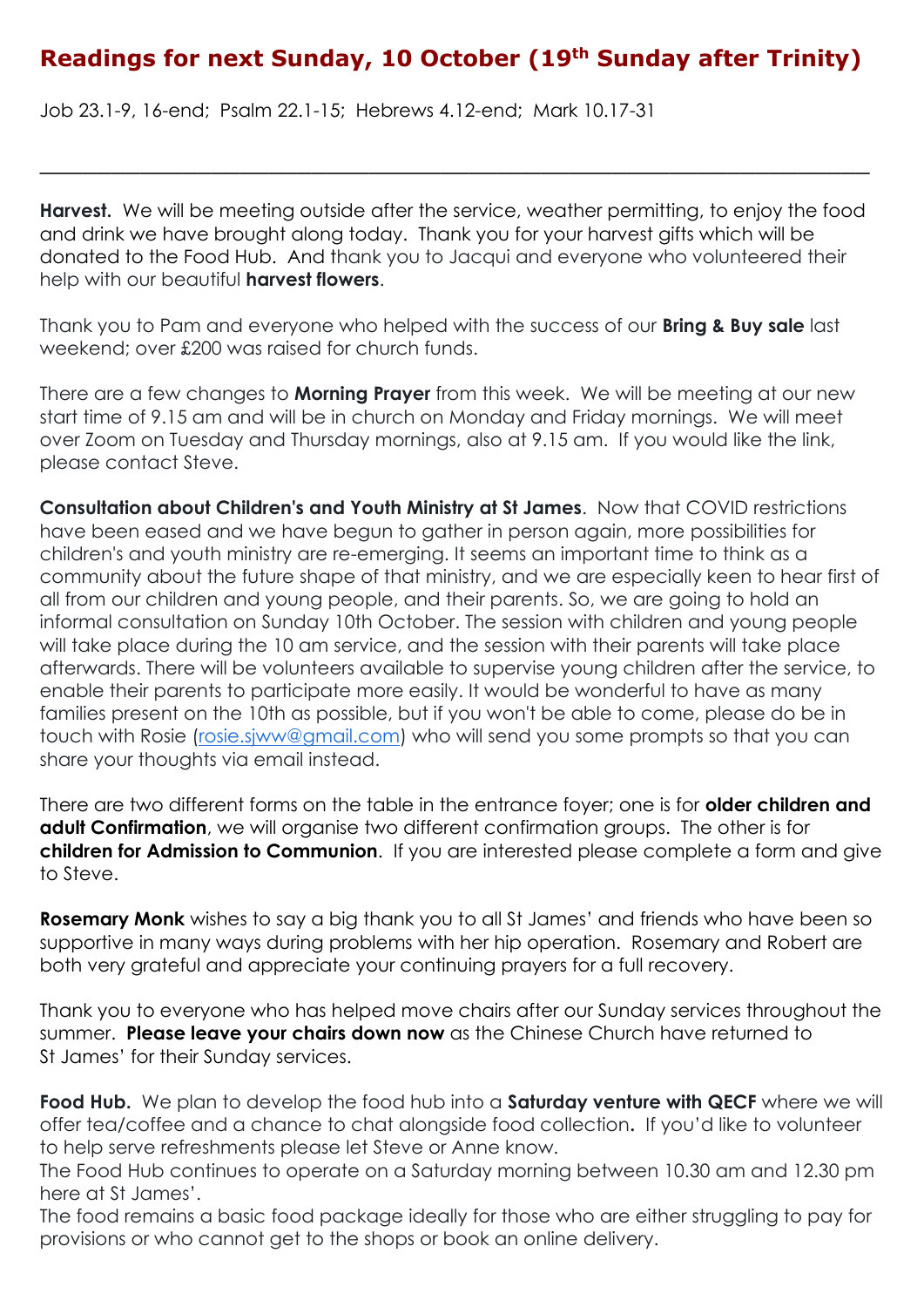# **Readings for next Sunday, 10 October (19th Sunday after Trinity)**

Job 23.1-9, 16-end; Psalm 22.1-15; Hebrews 4.12-end; Mark 10.17-31

**Harvest.** We will be meeting outside after the service, weather permitting, to enjoy the food and drink we have brought along today. Thank you for your harvest gifts which will be donated to the Food Hub. And thank you to Jacqui and everyone who volunteered their help with our beautiful **harvest flowers**.

\_\_\_\_\_\_\_\_\_\_\_\_\_\_\_\_\_\_\_\_\_\_\_\_\_\_\_\_\_\_\_\_\_\_\_\_\_\_\_\_\_\_\_\_\_\_\_\_\_\_\_\_\_\_\_\_\_\_

Thank you to Pam and everyone who helped with the success of our **Bring & Buy sale** last weekend; over £200 was raised for church funds.

There are a few changes to **Morning Prayer** from this week. We will be meeting at our new start time of 9.15 am and will be in church on Monday and Friday mornings. We will meet over Zoom on Tuesday and Thursday mornings, also at 9.15 am. If you would like the link, please contact Steve.

**Consultation about Children's and Youth Ministry at St James**. Now that COVID restrictions have been eased and we have begun to gather in person again, more possibilities for children's and youth ministry are re-emerging. It seems an important time to think as a community about the future shape of that ministry, and we are especially keen to hear first of all from our children and young people, and their parents. So, we are going to hold an informal consultation on Sunday 10th October. The session with children and young people will take place during the 10 am service, and the session with their parents will take place afterwards. There will be volunteers available to supervise young children after the service, to enable their parents to participate more easily. It would be wonderful to have as many families present on the 10th as possible, but if you won't be able to come, please do be in touch with Rosie [\(rosie.sjww@gmail.com\)](mailto:rosie.sjww@gmail.com) who will send you some prompts so that you can share your thoughts via email instead.

There are two different forms on the table in the entrance foyer; one is for **older children and adult Confirmation**, we will organise two different confirmation groups. The other is for **children for Admission to Communion**. If you are interested please complete a form and give to Steve.

**Rosemary Monk** wishes to say a big thank you to all St James' and friends who have been so supportive in many ways during problems with her hip operation. Rosemary and Robert are both very grateful and appreciate your continuing prayers for a full recovery.

Thank you to everyone who has helped move chairs after our Sunday services throughout the summer. **Please leave your chairs down now** as the Chinese Church have returned to St James' for their Sunday services.

**Food Hub.** We plan to develop the food hub into a **Saturday venture with QECF** where we will offer tea/coffee and a chance to chat alongside food collection**.** If you'd like to volunteer to help serve refreshments please let Steve or Anne know.

The Food Hub continues to operate on a Saturday morning between 10.30 am and 12.30 pm here at St James'.

The food remains a basic food package ideally for those who are either struggling to pay for provisions or who cannot get to the shops or book an online delivery.